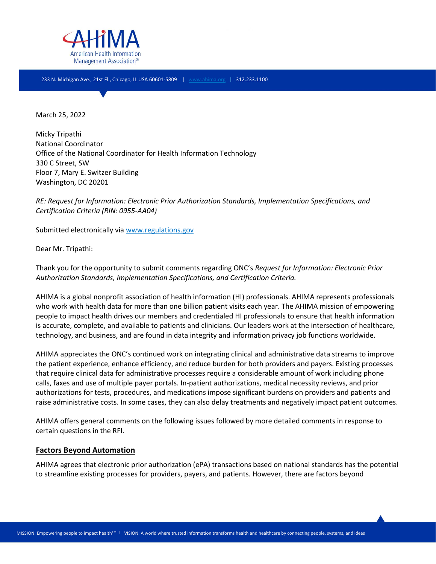

233 N. Michigan Ave., 21st Fl., Chicago, IL USA 60601-5809 | [www.ahima.org](http://www.ahima.org/) | 312.233.1100

March 25, 2022

Micky Tripathi National Coordinator Office of the National Coordinator for Health Information Technology 330 C Street, SW Floor 7, Mary E. Switzer Building Washington, DC 20201

*RE: Request for Information: Electronic Prior Authorization Standards, Implementation Specifications, and Certification Criteria (RIN: 0955-AA04)*

Submitted electronically via [www.regulations.gov](http://www.regulations.gov/)

Dear Mr. Tripathi:

Thank you for the opportunity to submit comments regarding ONC's *Request for Information: Electronic Prior Authorization Standards, Implementation Specifications, and Certification Criteria.*

AHIMA is a global nonprofit association of health information (HI) professionals. AHIMA represents professionals who work with health data for more than one billion patient visits each year. The AHIMA mission of empowering people to impact health drives our members and credentialed HI professionals to ensure that health information is accurate, complete, and available to patients and clinicians. Our leaders work at the intersection of healthcare, technology, and business, and are found in data integrity and information privacy job functions worldwide.

AHIMA appreciates the ONC's continued work on integrating clinical and administrative data streams to improve the patient experience, enhance efficiency, and reduce burden for both providers and payers. Existing processes that require clinical data for administrative processes require a considerable amount of work including phone calls, faxes and use of multiple payer portals. In-patient authorizations, medical necessity reviews, and prior authorizations for tests, procedures, and medications impose significant burdens on providers and patients and raise administrative costs. In some cases, they can also delay treatments and negatively impact patient outcomes.

AHIMA offers general comments on the following issues followed by more detailed comments in response to certain questions in the RFI.

#### **Factors Beyond Automation**

AHIMA agrees that electronic prior authorization (ePA) transactions based on national standards has the potential to streamline existing processes for providers, payers, and patients. However, there are factors beyond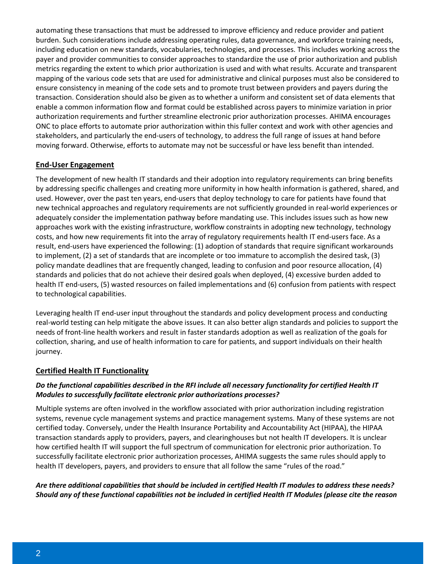automating these transactions that must be addressed to improve efficiency and reduce provider and patient burden. Such considerations include addressing operating rules, data governance, and workforce training needs, including education on new standards, vocabularies, technologies, and processes. This includes working across the payer and provider communities to consider approaches to standardize the use of prior authorization and publish metrics regarding the extent to which prior authorization is used and with what results. Accurate and transparent mapping of the various code sets that are used for administrative and clinical purposes must also be considered to ensure consistency in meaning of the code sets and to promote trust between providers and payers during the transaction. Consideration should also be given as to whether a uniform and consistent set of data elements that enable a common information flow and format could be established across payers to minimize variation in prior authorization requirements and further streamline electronic prior authorization processes. AHIMA encourages ONC to place efforts to automate prior authorization within this fuller context and work with other agencies and stakeholders, and particularly the end-users of technology, to address the full range of issues at hand before moving forward. Otherwise, efforts to automate may not be successful or have less benefit than intended.

#### **End-User Engagement**

The development of new health IT standards and their adoption into regulatory requirements can bring benefits by addressing specific challenges and creating more uniformity in how health information is gathered, shared, and used. However, over the past ten years, end-users that deploy technology to care for patients have found that new technical approaches and regulatory requirements are not sufficiently grounded in real-world experiences or adequately consider the implementation pathway before mandating use. This includes issues such as how new approaches work with the existing infrastructure, workflow constraints in adopting new technology, technology costs, and how new requirements fit into the array of regulatory requirements health IT end-users face. As a result, end-users have experienced the following: (1) adoption of standards that require significant workarounds to implement, (2) a set of standards that are incomplete or too immature to accomplish the desired task, (3) policy mandate deadlines that are frequently changed, leading to confusion and poor resource allocation, (4) standards and policies that do not achieve their desired goals when deployed, (4) excessive burden added to health IT end-users, (5) wasted resources on failed implementations and (6) confusion from patients with respect to technological capabilities.

Leveraging health IT end-user input throughout the standards and policy development process and conducting real-world testing can help mitigate the above issues. It can also better align standards and policies to support the needs of front-line health workers and result in faster standards adoption as well as realization of the goals for collection, sharing, and use of health information to care for patients, and support individuals on their health journey.

#### **Certified Health IT Functionality**

# *Do the functional capabilities described in the RFI include all necessary functionality for certified Health IT Modules to successfully facilitate electronic prior authorizations processes?*

Multiple systems are often involved in the workflow associated with prior authorization including registration systems, revenue cycle management systems and practice management systems. Many of these systems are not certified today. Conversely, under the Health Insurance Portability and Accountability Act (HIPAA), the HIPAA transaction standards apply to providers, payers, and clearinghouses but not health IT developers. It is unclear how certified health IT will support the full spectrum of communication for electronic prior authorization. To successfully facilitate electronic prior authorization processes, AHIMA suggests the same rules should apply to health IT developers, payers, and providers to ensure that all follow the same "rules of the road."

# *Are there additional capabilities that should be included in certified Health IT modules to address these needs? Should any of these functional capabilities not be included in certified Health IT Modules (please cite the reason*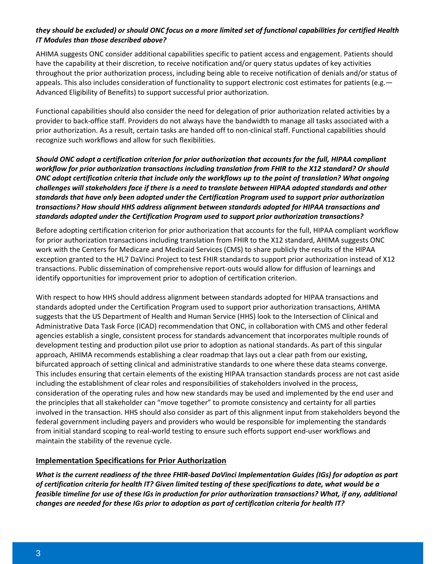### *they should be excluded) or should ONC focus on a more limited set of functional capabilities for certified Health IT Modules than those described above?*

AHIMA suggests ONC consider additional capabilities specific to patient access and engagement. Patients should have the capability at their discretion, to receive notification and/or query status updates of key activities throughout the prior authorization process, including being able to receive notification of denials and/or status of appeals. This also includes consideration of functionality to support electronic cost estimates for patients (e.g. -Advanced Eligibility of Benefits) to support successful prior authorization.

Functional capabilities should also consider the need for delegation of prior authorization related activities by a provider to back-office staff. Providers do not always have the bandwidth to manage all tasks associated with a prior authorization. As a result, certain tasks are handed off to non-clinical staff. Functional capabilities should recognize such workflows and allow for such flexibilities.

*Should ONC adopt a certification criterion for prior authorization that accounts for the full, HIPAA compliant workflow for prior authorization transactions including translation from FHIR to the X12 standard? Or should ONC adopt certification criteria that include only the workflows up to the point of translation? What ongoing challenges will stakeholders face if there is a need to translate between HIPAA adopted standards and other standards that have only been adopted under the Certification Program used to support prior authorization transactions? How should HHS address alignment between standards adopted for HIPAA transactions and standards adopted under the Certification Program used to support prior authorization transactions?* 

Before adopting certification criterion for prior authorization that accounts for the full, HIPAA compliant workflow for prior authorization transactions including translation from FHIR to the X12 standard, AHIMA suggests ONC work with the Centers for Medicare and Medicaid Services (CMS) to share publicly the results of the HIPAA exception granted to the HL7 DaVinci Project to test FHIR standards to support prior authorization instead of X12 transactions. Public dissemination of comprehensive report-outs would allow for diffusion of learnings and identify opportunities for improvement prior to adoption of certification criterion.

With respect to how HHS should address alignment between standards adopted for HIPAA transactions and standards adopted under the Certification Program used to support prior authorization transactions, AHIMA suggests that the US Department of Health and Human Service (HHS) look to the Intersection of Clinical and Administrative Data Task Force (ICAD) recommendation that ONC, in collaboration with CMS and other federal agencies establish a single, consistent process for standards advancement that incorporates multiple rounds of development testing and production pilot use prior to adoption as national standards. As part of this singular approach, AHIMA recommends establishing a clear roadmap that lays out a clear path from our existing, bifurcated approach of setting clinical and administrative standards to one where these data steams converge. This includes ensuring that certain elements of the existing HIPAA transaction standards process are not cast aside including the establishment of clear roles and responsibilities of stakeholders involved in the process, consideration of the operating rules and how new standards may be used and implemented by the end user and the principles that all stakeholder can "move together" to promote consistency and certainty for all parties involved in the transaction. HHS should also consider as part of this alignment input from stakeholders beyond the federal government including payers and providers who would be responsible for implementing the standards from initial standard scoping to real-world testing to ensure such efforts support end-user workflows and maintain the stability of the revenue cycle.

#### **Implementation Specifications for Prior Authorization**

*What is the current readiness of the three FHIR-based DaVinci Implementation Guides (IGs) for adoption as part of certification criteria for health IT? Given limited testing of these specifications to date, what would be a feasible timeline for use of these IGs in production for prior authorization transactions? What, if any, additional changes are needed for these IGs prior to adoption as part of certification criteria for health IT?*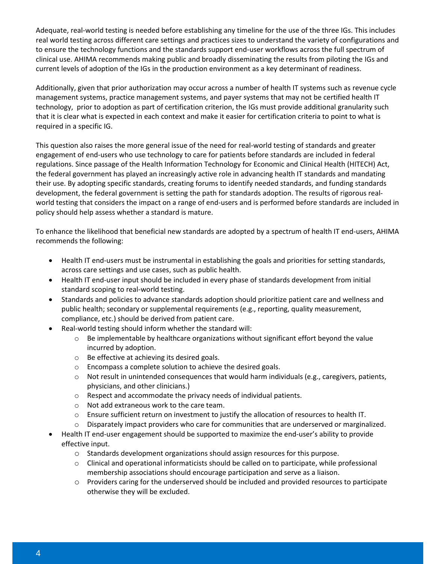Adequate, real-world testing is needed before establishing any timeline for the use of the three IGs. This includes real world testing across different care settings and practices sizes to understand the variety of configurations and to ensure the technology functions and the standards support end-user workflows across the full spectrum of clinical use. AHIMA recommends making public and broadly disseminating the results from piloting the IGs and current levels of adoption of the IGs in the production environment as a key determinant of readiness.

Additionally, given that prior authorization may occur across a number of health IT systems such as revenue cycle management systems, practice management systems, and payer systems that may not be certified health IT technology, prior to adoption as part of certification criterion, the IGs must provide additional granularity such that it is clear what is expected in each context and make it easier for certification criteria to point to what is required in a specific IG.

This question also raises the more general issue of the need for real-world testing of standards and greater engagement of end-users who use technology to care for patients before standards are included in federal regulations. Since passage of the Health Information Technology for Economic and Clinical Health (HITECH) Act, the federal government has played an increasingly active role in advancing health IT standards and mandating their use. By adopting specific standards, creating forums to identify needed standards, and funding standards development, the federal government is setting the path for standards adoption. The results of rigorous realworld testing that considers the impact on a range of end-users and is performed before standards are included in policy should help assess whether a standard is mature.

To enhance the likelihood that beneficial new standards are adopted by a spectrum of health IT end-users, AHIMA recommends the following:

- Health IT end-users must be instrumental in establishing the goals and priorities for setting standards, across care settings and use cases, such as public health.
- Health IT end-user input should be included in every phase of standards development from initial standard scoping to real-world testing.
- Standards and policies to advance standards adoption should prioritize patient care and wellness and public health; secondary or supplemental requirements (e.g., reporting, quality measurement, compliance, etc.) should be derived from patient care.
- Real-world testing should inform whether the standard will:
	- $\circ$  Be implementable by healthcare organizations without significant effort beyond the value incurred by adoption.
	- o Be effective at achieving its desired goals.
	- o Encompass a complete solution to achieve the desired goals.
	- $\circ$  Not result in unintended consequences that would harm individuals (e.g., caregivers, patients, physicians, and other clinicians.)
	- o Respect and accommodate the privacy needs of individual patients.
	- o Not add extraneous work to the care team.
	- o Ensure sufficient return on investment to justify the allocation of resources to health IT.
	- $\circ$  Disparately impact providers who care for communities that are underserved or marginalized.
- Health IT end-user engagement should be supported to maximize the end-user's ability to provide effective input.
	- o Standards development organizations should assign resources for this purpose.
	- $\circ$  Clinical and operational informaticists should be called on to participate, while professional membership associations should encourage participation and serve as a liaison.
	- $\circ$  Providers caring for the underserved should be included and provided resources to participate otherwise they will be excluded.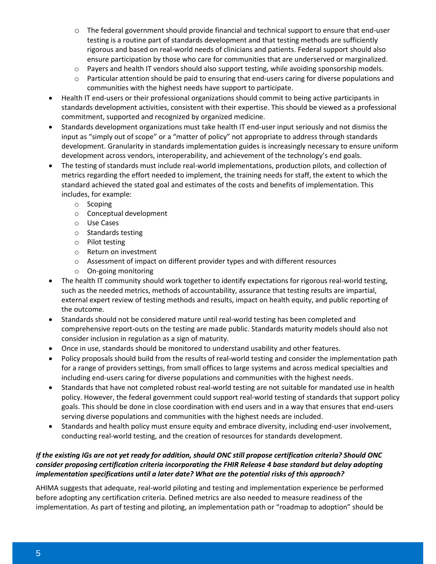- o The federal government should provide financial and technical support to ensure that end-user testing is a routine part of standards development and that testing methods are sufficiently rigorous and based on real-world needs of clinicians and patients. Federal support should also ensure participation by those who care for communities that are underserved or marginalized.
- $\circ$  Payers and health IT vendors should also support testing, while avoiding sponsorship models.
- $\circ$  Particular attention should be paid to ensuring that end-users caring for diverse populations and communities with the highest needs have support to participate.
- Health IT end-users or their professional organizations should commit to being active participants in standards development activities, consistent with their expertise. This should be viewed as a professional commitment, supported and recognized by organized medicine.
- Standards development organizations must take health IT end-user input seriously and not dismiss the input as "simply out of scope" or a "matter of policy" not appropriate to address through standards development. Granularity in standards implementation guides is increasingly necessary to ensure uniform development across vendors, interoperability, and achievement of the technology's end goals.
- The testing of standards must include real-world implementations, production pilots, and collection of metrics regarding the effort needed to implement, the training needs for staff, the extent to which the standard achieved the stated goal and estimates of the costs and benefits of implementation. This includes, for example:
	- o Scoping
	- o Conceptual development
	- o Use Cases
	- o Standards testing
	- o Pilot testing
	- o Return on investment
	- o Assessment of impact on different provider types and with different resources
	- o On-going monitoring
- The health IT community should work together to identify expectations for rigorous real-world testing, such as the needed metrics, methods of accountability, assurance that testing results are impartial, external expert review of testing methods and results, impact on health equity, and public reporting of the outcome.
- Standards should not be considered mature until real-world testing has been completed and comprehensive report-outs on the testing are made public. Standards maturity models should also not consider inclusion in regulation as a sign of maturity.
- Once in use, standards should be monitored to understand usability and other features.
- Policy proposals should build from the results of real-world testing and consider the implementation path for a range of providers settings, from small offices to large systems and across medical specialties and including end-users caring for diverse populations and communities with the highest needs.
- Standards that have not completed robust real-world testing are not suitable for mandated use in health policy. However, the federal government could support real-world testing of standards that support policy goals. This should be done in close coordination with end users and in a way that ensures that end-users serving diverse populations and communities with the highest needs are included.
- Standards and health policy must ensure equity and embrace diversity, including end-user involvement, conducting real-world testing, and the creation of resources for standards development.

# *If the existing IGs are not yet ready for addition, should ONC still propose certification criteria? Should ONC consider proposing certification criteria incorporating the FHIR Release 4 base standard but delay adopting implementation specifications until a later date? What are the potential risks of this approach?*

AHIMA suggests that adequate, real-world piloting and testing and implementation experience be performed before adopting any certification criteria. Defined metrics are also needed to measure readiness of the implementation. As part of testing and piloting, an implementation path or "roadmap to adoption" should be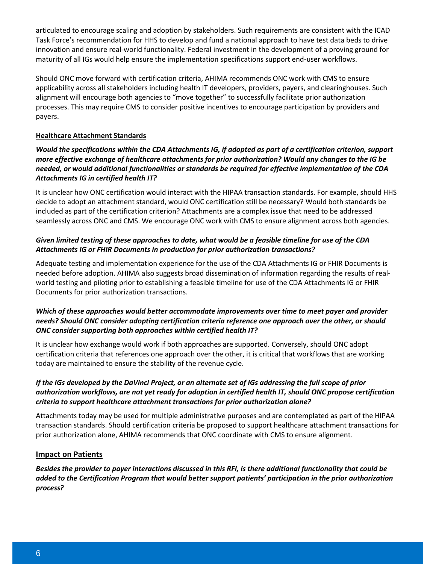articulated to encourage scaling and adoption by stakeholders. Such requirements are consistent with the ICAD Task Force's recommendation for HHS to develop and fund a national approach to have test data beds to drive innovation and ensure real-world functionality. Federal investment in the development of a proving ground for maturity of all IGs would help ensure the implementation specifications support end-user workflows.

Should ONC move forward with certification criteria, AHIMA recommends ONC work with CMS to ensure applicability across all stakeholders including health IT developers, providers, payers, and clearinghouses. Such alignment will encourage both agencies to "move together" to successfully facilitate prior authorization processes. This may require CMS to consider positive incentives to encourage participation by providers and payers.

#### **Healthcare Attachment Standards**

### *Would the specifications within the CDA Attachments IG, if adopted as part of a certification criterion, support more effective exchange of healthcare attachments for prior authorization? Would any changes to the IG be needed, or would additional functionalities or standards be required for effective implementation of the CDA Attachments IG in certified health IT?*

It is unclear how ONC certification would interact with the HIPAA transaction standards. For example, should HHS decide to adopt an attachment standard, would ONC certification still be necessary? Would both standards be included as part of the certification criterion? Attachments are a complex issue that need to be addressed seamlessly across ONC and CMS. We encourage ONC work with CMS to ensure alignment across both agencies.

#### *Given limited testing of these approaches to date, what would be a feasible timeline for use of the CDA Attachments IG or FHIR Documents in production for prior authorization transactions?*

Adequate testing and implementation experience for the use of the CDA Attachments IG or FHIR Documents is needed before adoption. AHIMA also suggests broad dissemination of information regarding the results of realworld testing and piloting prior to establishing a feasible timeline for use of the CDA Attachments IG or FHIR Documents for prior authorization transactions.

#### *Which of these approaches would better accommodate improvements over time to meet payer and provider needs? Should ONC consider adopting certification criteria reference one approach over the other, or should ONC consider supporting both approaches within certified health IT?*

It is unclear how exchange would work if both approaches are supported. Conversely, should ONC adopt certification criteria that references one approach over the other, it is critical that workflows that are working today are maintained to ensure the stability of the revenue cycle.

# *If the IGs developed by the DaVinci Project, or an alternate set of IGs addressing the full scope of prior authorization workflows, are not yet ready for adoption in certified health IT, should ONC propose certification criteria to support healthcare attachment transactions for prior authorization alone?*

Attachments today may be used for multiple administrative purposes and are contemplated as part of the HIPAA transaction standards. Should certification criteria be proposed to support healthcare attachment transactions for prior authorization alone, AHIMA recommends that ONC coordinate with CMS to ensure alignment.

#### **Impact on Patients**

*Besides the provider to payer interactions discussed in this RFI, is there additional functionality that could be added to the Certification Program that would better support patients' participation in the prior authorization process?*